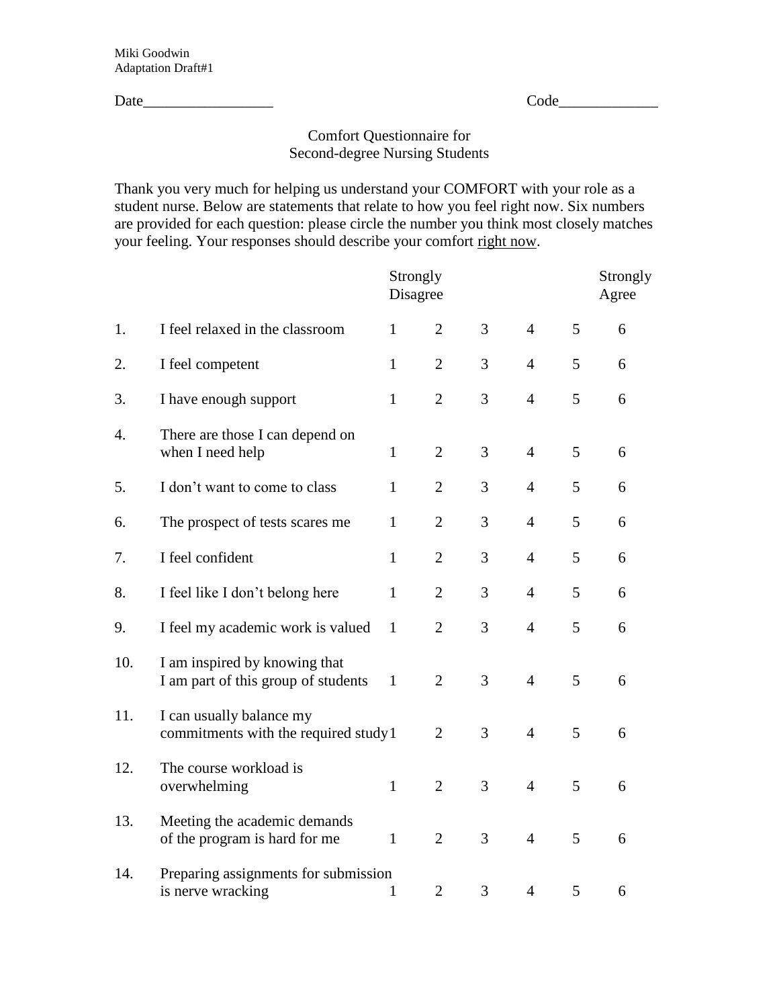Date\_\_\_\_\_\_\_\_\_\_\_\_\_\_\_\_\_ Code\_\_\_\_\_\_\_\_\_\_\_\_\_

## Comfort Questionnaire for Second-degree Nursing Students

Thank you very much for helping us understand your COMFORT with your role as a student nurse. Below are statements that relate to how you feel right now. Six numbers are provided for each question: please circle the number you think most closely matches your feeling. Your responses should describe your comfort right now.

|     |                                                                      |              | Strongly<br>Disagree |   |                |   | Strongly<br>Agree |  |
|-----|----------------------------------------------------------------------|--------------|----------------------|---|----------------|---|-------------------|--|
| 1.  | I feel relaxed in the classroom                                      | $\mathbf{1}$ | $\overline{2}$       | 3 | $\overline{4}$ | 5 | 6                 |  |
| 2.  | I feel competent                                                     | $\mathbf{1}$ | $\overline{2}$       | 3 | $\overline{4}$ | 5 | 6                 |  |
| 3.  | I have enough support                                                | $\mathbf{1}$ | $\overline{2}$       | 3 | $\overline{4}$ | 5 | 6                 |  |
| 4.  | There are those I can depend on<br>when I need help                  | $\mathbf{1}$ | $\overline{2}$       | 3 | $\overline{4}$ | 5 | 6                 |  |
| 5.  | I don't want to come to class                                        | $\mathbf{1}$ | $\overline{2}$       | 3 | $\overline{4}$ | 5 | 6                 |  |
| 6.  | The prospect of tests scares me                                      | $\mathbf{1}$ | $\overline{2}$       | 3 | $\overline{4}$ | 5 | 6                 |  |
| 7.  | I feel confident                                                     | $\mathbf{1}$ | $\overline{2}$       | 3 | $\overline{4}$ | 5 | 6                 |  |
| 8.  | I feel like I don't belong here                                      | $\mathbf{1}$ | $\overline{2}$       | 3 | $\overline{4}$ | 5 | 6                 |  |
| 9.  | I feel my academic work is valued                                    | $\mathbf{1}$ | $\overline{2}$       | 3 | $\overline{4}$ | 5 | 6                 |  |
| 10. | I am inspired by knowing that<br>I am part of this group of students | $\mathbf{1}$ | $\overline{2}$       | 3 | $\overline{4}$ | 5 | 6                 |  |
| 11. | I can usually balance my<br>commitments with the required study 1    |              | $\overline{2}$       | 3 | $\overline{4}$ | 5 | 6                 |  |
| 12. | The course workload is<br>overwhelming                               | $\mathbf{1}$ | $\overline{2}$       | 3 | $\overline{4}$ | 5 | 6                 |  |
| 13. | Meeting the academic demands<br>of the program is hard for me        | $\mathbf{1}$ | $\overline{2}$       | 3 | $\overline{4}$ | 5 | 6                 |  |
| 14. | Preparing assignments for submission<br>is nerve wracking            | 1            | $\overline{2}$       | 3 | $\overline{4}$ | 5 | 6                 |  |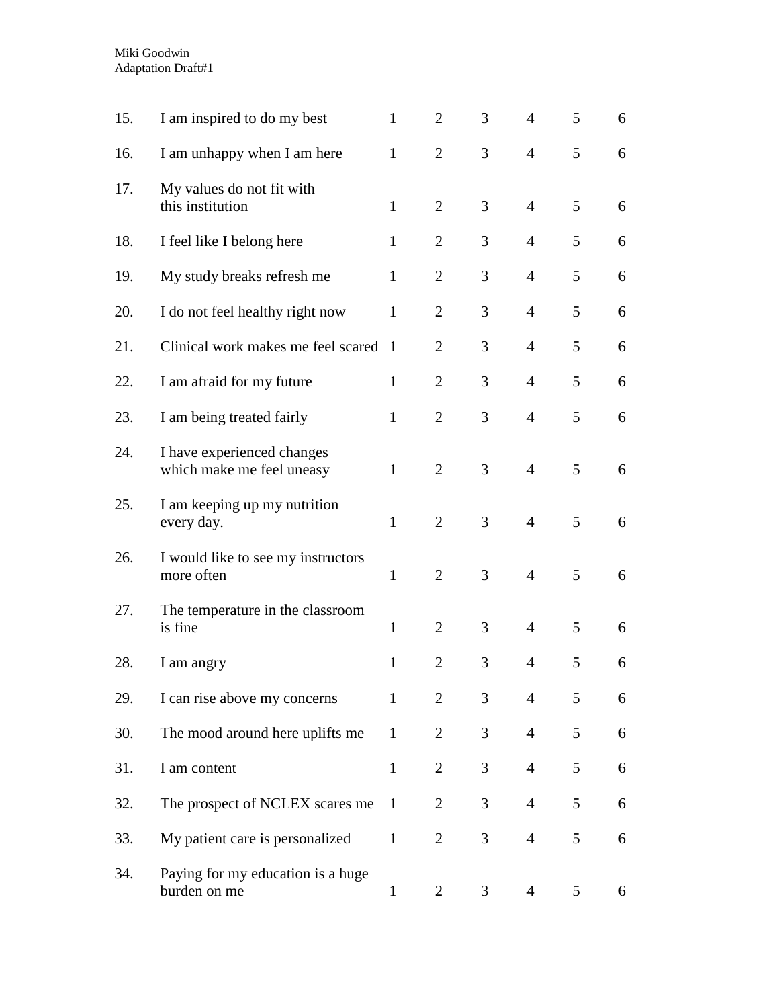| 15. | I am inspired to do my best                             | $\mathbf{1}$ | $\overline{2}$ | 3              | $\overline{4}$ | 5 | 6 |
|-----|---------------------------------------------------------|--------------|----------------|----------------|----------------|---|---|
| 16. | I am unhappy when I am here                             | $\mathbf{1}$ | $\overline{2}$ | 3              | $\overline{4}$ | 5 | 6 |
| 17. | My values do not fit with<br>this institution           | $\mathbf{1}$ | $\overline{2}$ | 3              | $\overline{4}$ | 5 | 6 |
| 18. | I feel like I belong here                               | $\mathbf{1}$ | $\overline{2}$ | 3              | $\overline{4}$ | 5 | 6 |
| 19. | My study breaks refresh me                              | $\mathbf{1}$ | $\overline{2}$ | 3              | $\overline{4}$ | 5 | 6 |
| 20. | I do not feel healthy right now                         | $\mathbf{1}$ | $\overline{2}$ | 3              | $\overline{4}$ | 5 | 6 |
| 21. | Clinical work makes me feel scared                      | -1           | $\overline{2}$ | 3              | $\overline{4}$ | 5 | 6 |
| 22. | I am afraid for my future                               | $\mathbf{1}$ | $\overline{2}$ | 3              | $\overline{4}$ | 5 | 6 |
| 23. | I am being treated fairly                               | $\mathbf{1}$ | $\overline{2}$ | 3              | $\overline{4}$ | 5 | 6 |
| 24. | I have experienced changes<br>which make me feel uneasy | $\mathbf{1}$ | $\overline{2}$ | 3              | $\overline{4}$ | 5 | 6 |
| 25. | I am keeping up my nutrition<br>every day.              | $\mathbf{1}$ | $\overline{2}$ | 3              | $\overline{4}$ | 5 | 6 |
| 26. | I would like to see my instructors<br>more often        | $\mathbf{1}$ | $\overline{2}$ | 3              | $\overline{4}$ | 5 | 6 |
| 27. | The temperature in the classroom<br>is fine             | $\mathbf{1}$ | $\overline{2}$ | 3              | $\overline{4}$ | 5 | 6 |
| 28. | I am angry                                              | $\mathbf{1}$ | $\overline{2}$ | 3              | $\overline{4}$ | 5 | 6 |
| 29. | I can rise above my concerns                            | $\mathbf{1}$ | $\overline{2}$ | 3              | $\overline{4}$ | 5 | 6 |
| 30. | The mood around here uplifts me                         | $\mathbf{1}$ | $\overline{2}$ | 3              | $\overline{4}$ | 5 | 6 |
| 31. | I am content                                            | $\mathbf{1}$ | $\overline{2}$ | 3              | $\overline{4}$ | 5 | 6 |
| 32. | The prospect of NCLEX scares me                         | $\mathbf{1}$ | $\overline{2}$ | 3              | $\overline{4}$ | 5 | 6 |
| 33. | My patient care is personalized                         | $\mathbf{1}$ | $\overline{2}$ | $\overline{3}$ | $\overline{4}$ | 5 | 6 |
| 34. | Paying for my education is a huge<br>burden on me       | $\mathbf{1}$ | 2              | 3              | $\overline{4}$ | 5 | 6 |